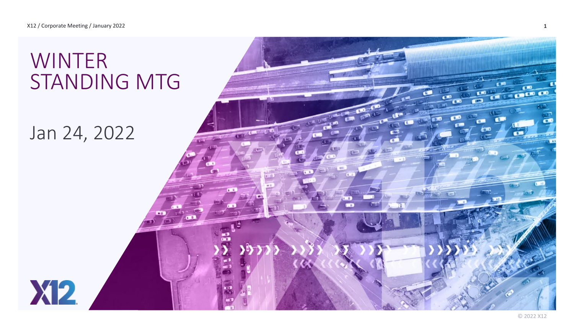# WINTER STANDING MTG

## Jan 24, 2022

**X12** 

 $\mathbf{C}$ **CALCO CO**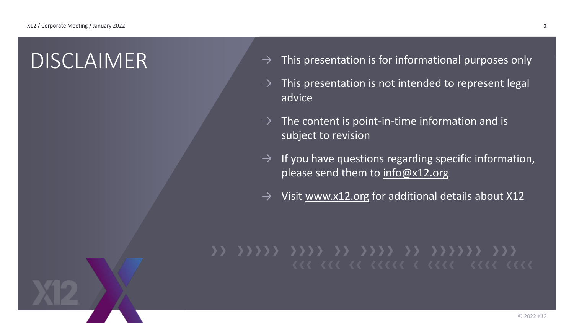- $DISCLAIMER$   $\rightarrow$  This presentation is for informational purposes only
	- $\rightarrow$  This presentation is not intended to represent legal advice
	- $\rightarrow$  The content is point-in-time information and is subject to revision
	- $\rightarrow$  If you have questions regarding specific information, please send them to [info@x12.org](mailto:info@x12.org)
	- $\rightarrow$  Visit [www.x12.org](http://www.x12.org/) for additional details about X12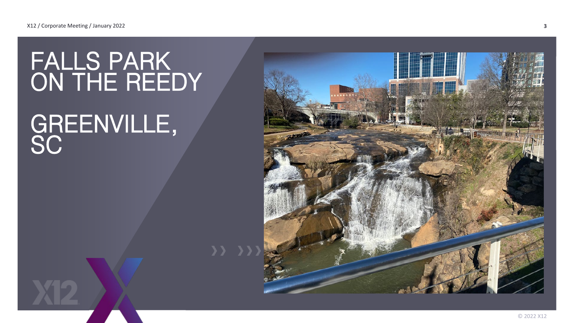# FALLS PARK ON THE REEDY

# GREENVILLE, **SC**

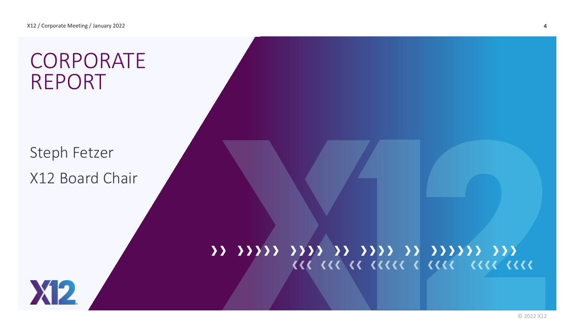# CORPORATE REPORT

Steph Fetzer X12 Board Chair

## 11 11111 1111 11 1111 11 11111 111 **III III II IIIII I IIII IIII IIII**

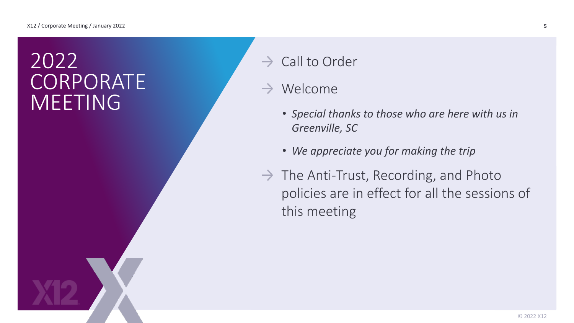# 2022 CORPORATE **MEETING**

- $\rightarrow$  Call to Order
- $\rightarrow$  Welcome
	- *Special thanks to those who are here with us in Greenville, SC*
	- *We appreciate you for making the trip*
- $\rightarrow$  The Anti-Trust, Recording, and Photo policies are in effect for all the sessions of this meeting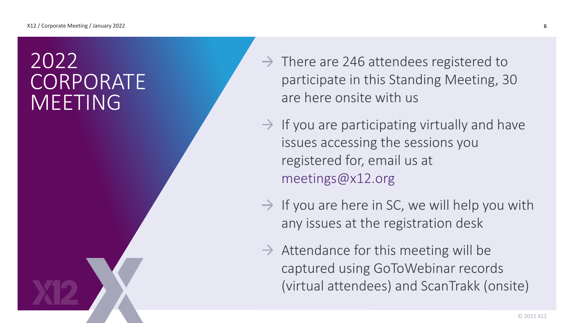# 2022 CORPORATE MEETING

- $\rightarrow$  There are 246 attendees registered to participate in this Standing Meeting, 30 are here onsite with us
- $\rightarrow$  If you are participating virtually and have issues accessing the sessions you registered for, email us at meetings@x12.org
- $\rightarrow$  If you are here in SC, we will help you with any issues at the registration desk
- $\rightarrow$  Attendance for this meeting will be captured using GoToWebinar records (virtual attendees) and ScanTrakk (onsite)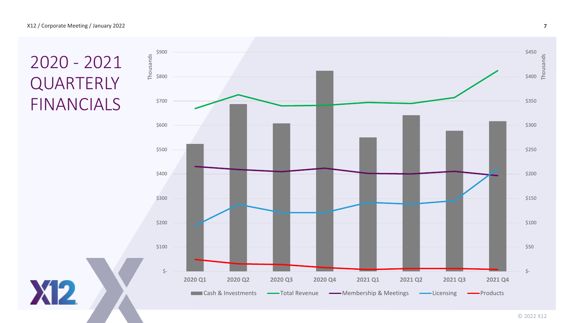## 2020 - 2021 **QUARTERLY** FINANCIALS

**X12** 

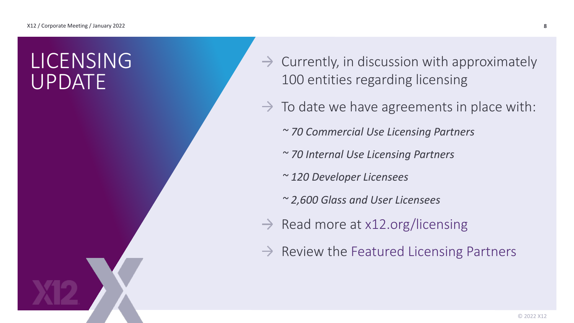# LICENSING UPDATE

- $\rightarrow$  Currently, in discussion with approximately 100 entities regarding licensing
- $\rightarrow$  To date we have agreements in place with:
	- *~ 70 Commercial Use Licensing Partners*
	- *~ 70 Internal Use Licensing Partners*
	- *~ 120 Developer Licensees*
	- *~ 2,600 Glass and User Licensees*
- $\rightarrow$  Read more at x12.org/licensing
- $\rightarrow$  Review the Featured Licensing Partners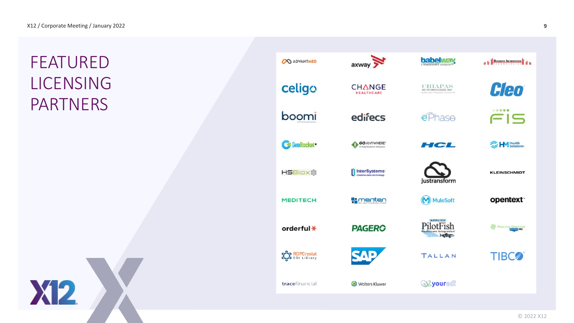## FEATURED LICENSING PARTNERS



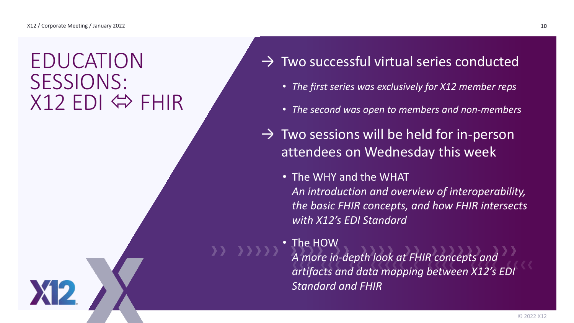# EDUCATION SESSIONS:  $X12$  EDI  $\Leftrightarrow$  FHIR

- $\rightarrow$  Two successful virtual series conducted
	- *The first series was exclusively for X12 member reps*
	- *The second was open to members and non-members*
- $\rightarrow$  Two sessions will be held for in-person attendees on Wednesday this week
	- The WHY and the WHAT *An introduction and overview of interoperability, the basic FHIR concepts, and how FHIR intersects with X12's EDI Standard*
	- The HOW *A more in-depth look at FHIR concepts and artifacts and data mapping between X12's EDI Standard and FHIR*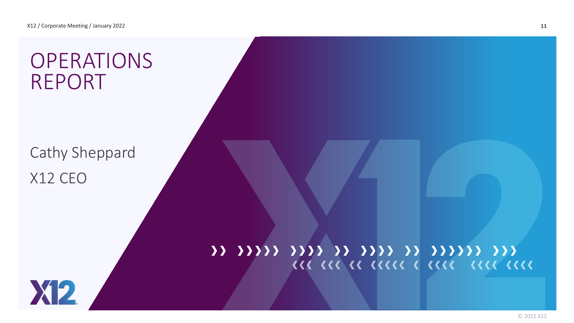# **OPERATIONS** REPORT

Cathy Sheppard X12 CEO

## 11 11111 1111 11 1111 11 11111 111 **III III II IIIII I IIII IIII IIII**

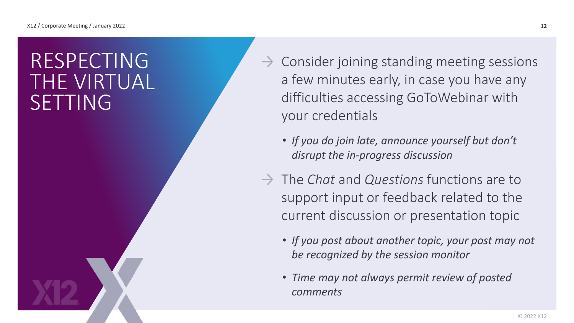# RESPECTING THE VIRTUAL SETTING

- $\rightarrow$  Consider joining standing meeting sessions a few minutes early, in case you have any difficulties accessing GoToWebinar with your credentials
	- *If you do join late, announce yourself but don't disrupt the in-progress discussion*
- → The *Chat* and *Questions* functions are to support input or feedback related to the current discussion or presentation topic
	- *If you post about another topic, your post may not be recognized by the session monitor*
	- *Time may not always permit review of posted comments*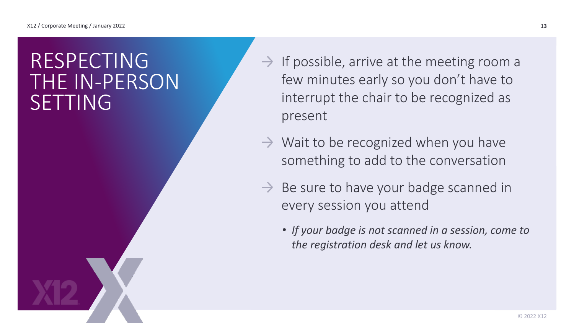# RESPECTING THE IN-PERSON SETTING

- $\rightarrow$  If possible, arrive at the meeting room a few minutes early so you don't have to interrupt the chair to be recognized as present
- $\rightarrow$  Wait to be recognized when you have something to add to the conversation
- $\rightarrow$  Be sure to have your badge scanned in every session you attend
	- *If your badge is not scanned in a session, come to the registration desk and let us know.*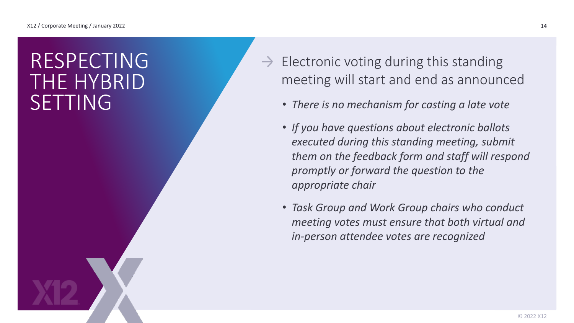# RESPECTING THE HYBRID SETTING

- $\rightarrow$  Electronic voting during this standing meeting will start and end as announced
	- *There is no mechanism for casting a late vote*
	- *If you have questions about electronic ballots executed during this standing meeting, submit them on the feedback form and staff will respond promptly or forward the question to the appropriate chair*
	- *Task Group and Work Group chairs who conduct meeting votes must ensure that both virtual and in-person attendee votes are recognized*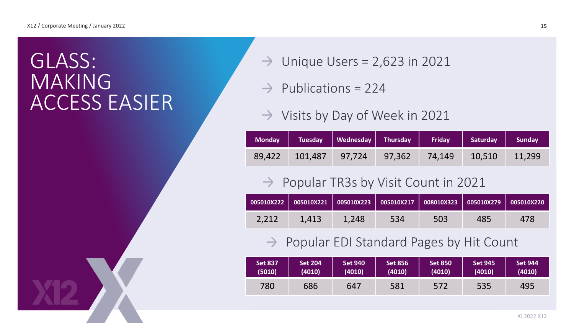# GLASS: MAKING ACCESS EASIER

- Unique Users = 2,623 in 2021  $\rightarrow$
- $\rightarrow$  Publications = 224
- $\rightarrow$  Visits by Day of Week in 2021

|                | Monday   Tuesday   Wednesday   Thursday |        | <b>Friday</b> | Saturday | <b>Sunday</b> |
|----------------|-----------------------------------------|--------|---------------|----------|---------------|
| 89,422 101,487 | 97,724                                  | 97,362 | 74,149        | 10,510   | 11,299        |

### $\rightarrow$  Popular TR3s by Visit Count in 2021

|       |       |       |     | 005010X222   005010X221   005010X223   005010X217   008010X323   005010X279   005010X220 |     |     |
|-------|-------|-------|-----|------------------------------------------------------------------------------------------|-----|-----|
| 2.212 | 1.413 | 1.248 | 534 | 503                                                                                      | 485 | 478 |

### $\rightarrow$  Popular EDI Standard Pages by Hit Count

| <b>Set 837</b> | <b>Set 204</b> | <b>Set 940</b> | <b>Set 856</b> | <b>Set 850</b> | <b>Set 945</b> | <b>Set 944</b> |
|----------------|----------------|----------------|----------------|----------------|----------------|----------------|
| (5010)         | (4010)         | (4010)         | (4010)         | (4010)         | (4010)         | (4010)         |
| 780            | 686            | 647            | 581            | 572            | 535            | 495            |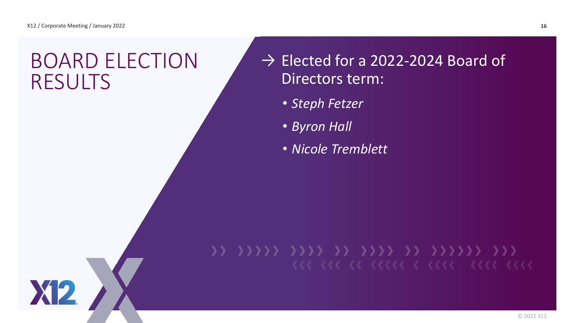**XP** 

## BOARD ELECTION RESULTS

## $\rightarrow$  Elected for a 2022-2024 Board of Directors term:

- *Steph Fetzer*
- *Byron Hall*
- *Nicole Tremblett*

# 33 3333 33 3333 33 333333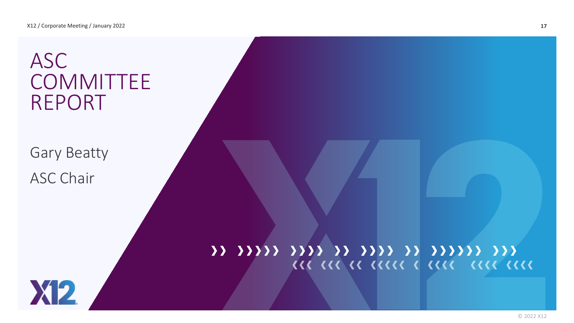# ASC **COMMITTEE** REPORT

Gary Beatty ASC Chair

## 11 11111 1111 11 1111 11 11111 111 **III III II IIIII I IIII IIII IIII**

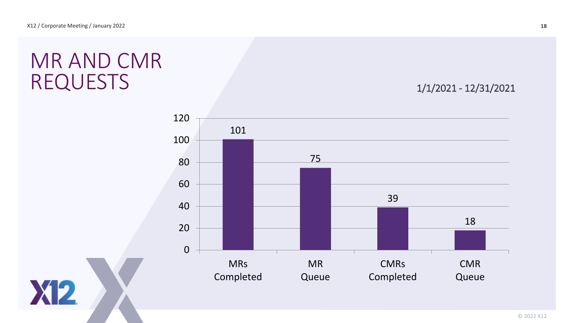**X12** 

# MR AND CMR REQUESTS 1/1/2021 - 12/31/2021

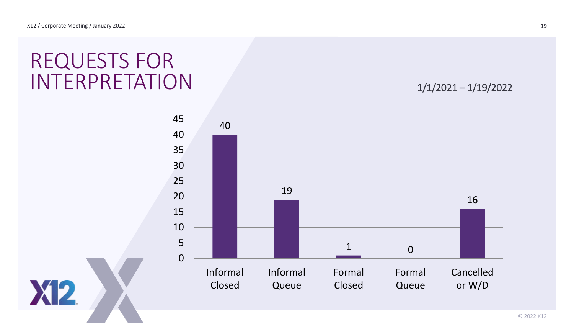**X12** 

# REQUESTS FOR INTERPRETATION 1/1/2021-1/19/2022

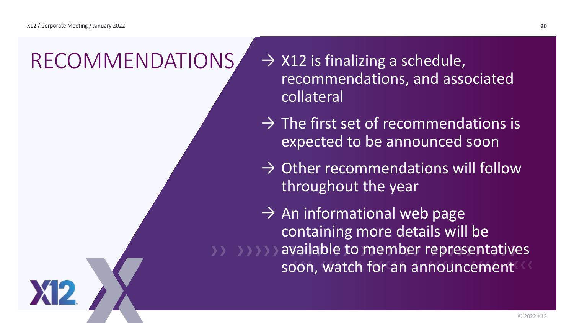# $RECOMMENDATIONS \rightarrow X12$  is finalizing a schedule,

- recommendations, and associated collateral
- $\rightarrow$  The first set of recommendations is expected to be announced soon
- $\rightarrow$  Other recommendations will follow throughout the year
- $\rightarrow$  An informational web page containing more details will be available to member representatives soon, watch for an announcement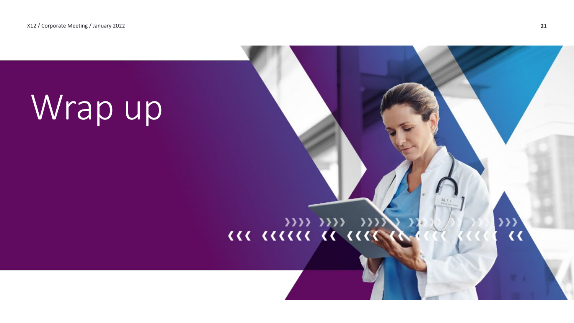# Wrap up

# 

 $\frac{322}{166}$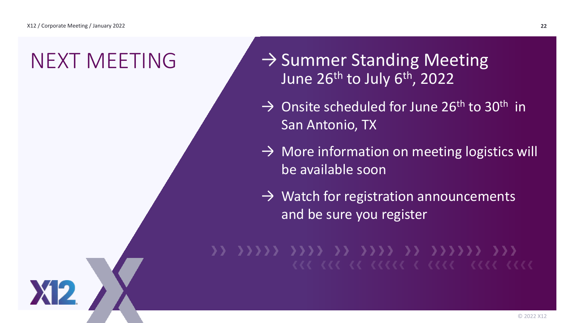$NEXT$  MEETING  $\rightarrow$  Summer Standing Meeting June 26<sup>th</sup> to July 6<sup>th</sup>, 2022

- $\rightarrow$  Onsite scheduled for June 26<sup>th</sup> to 30<sup>th</sup> in San Antonio, TX
- $\rightarrow$  More information on meeting logistics will be available soon
- $\rightarrow$  Watch for registration announcements and be sure you register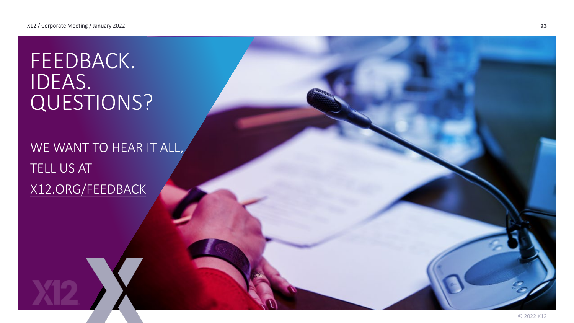# FEEDBACK. IDEAS. QUESTIONS?

WE WANT TO HEAR IT ALL, TELL US AT [X12.ORG/FEEDBACK](http://www.x12.org/feedback)